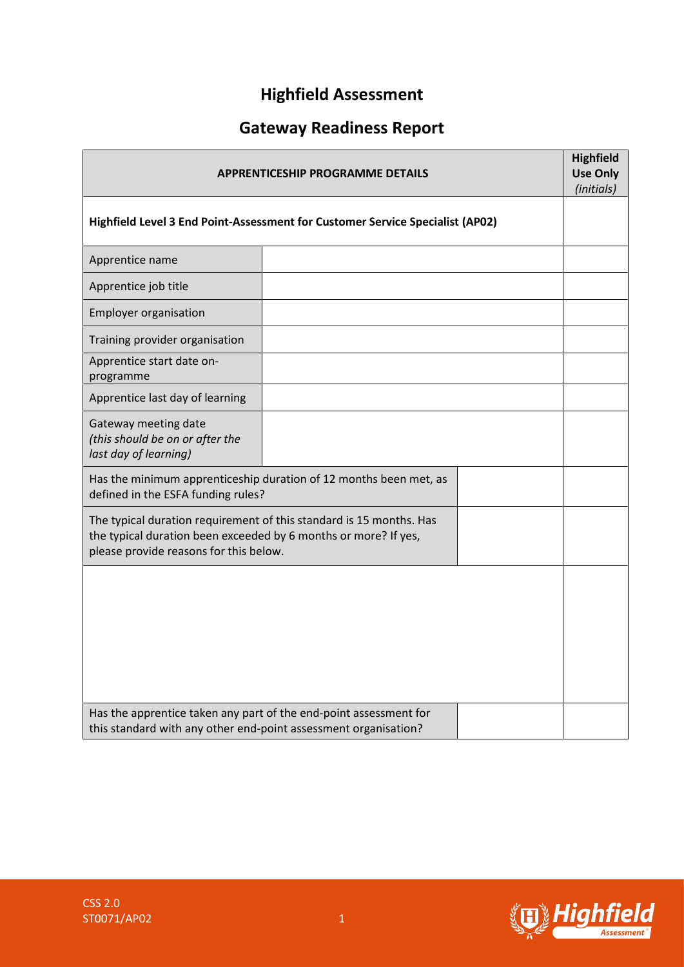# **Highfield Assessment**

# **Gateway Readiness Report**

| <b>APPRENTICESHIP PROGRAMME DETAILS</b><br>Highfield Level 3 End Point-Assessment for Customer Service Specialist (AP02)                                                         |                                                                   |  | <b>Highfield</b><br><b>Use Only</b><br>(initials) |
|----------------------------------------------------------------------------------------------------------------------------------------------------------------------------------|-------------------------------------------------------------------|--|---------------------------------------------------|
|                                                                                                                                                                                  |                                                                   |  |                                                   |
| Apprentice name                                                                                                                                                                  |                                                                   |  |                                                   |
| Apprentice job title                                                                                                                                                             |                                                                   |  |                                                   |
| <b>Employer organisation</b>                                                                                                                                                     |                                                                   |  |                                                   |
| Training provider organisation                                                                                                                                                   |                                                                   |  |                                                   |
| Apprentice start date on-<br>programme                                                                                                                                           |                                                                   |  |                                                   |
| Apprentice last day of learning                                                                                                                                                  |                                                                   |  |                                                   |
| Gateway meeting date<br>(this should be on or after the<br>last day of learning)                                                                                                 |                                                                   |  |                                                   |
| defined in the ESFA funding rules?                                                                                                                                               | Has the minimum apprenticeship duration of 12 months been met, as |  |                                                   |
| The typical duration requirement of this standard is 15 months. Has<br>the typical duration been exceeded by 6 months or more? If yes,<br>please provide reasons for this below. |                                                                   |  |                                                   |
|                                                                                                                                                                                  |                                                                   |  |                                                   |
|                                                                                                                                                                                  |                                                                   |  |                                                   |
|                                                                                                                                                                                  |                                                                   |  |                                                   |
|                                                                                                                                                                                  |                                                                   |  |                                                   |
| Has the apprentice taken any part of the end-point assessment for<br>this standard with any other end-point assessment organisation?                                             |                                                                   |  |                                                   |

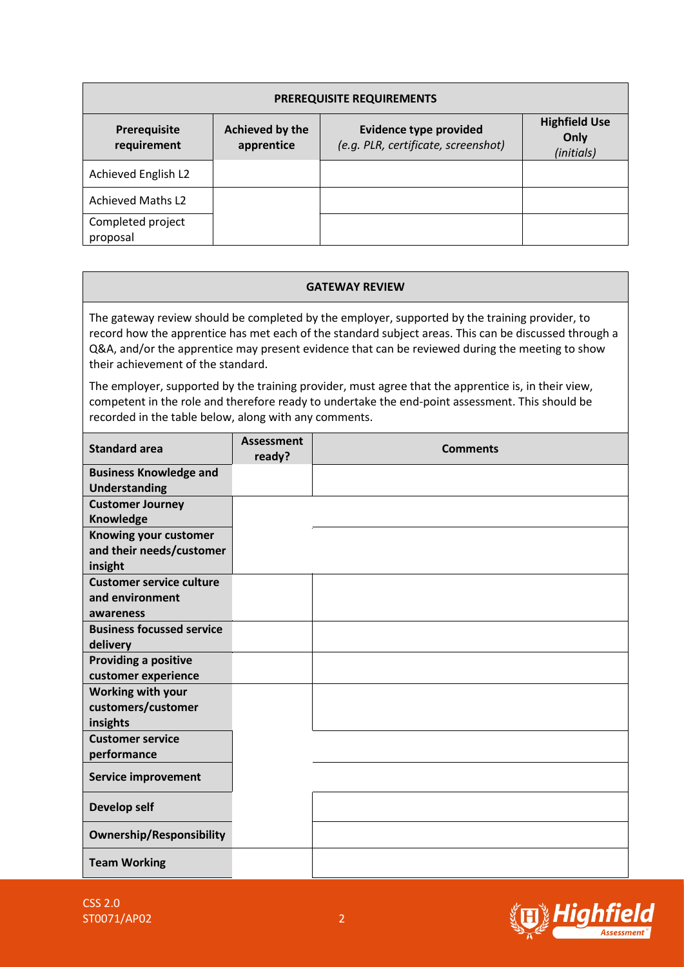| <b>PREREQUISITE REQUIREMENTS</b> |                               |                                                                      |                                            |  |
|----------------------------------|-------------------------------|----------------------------------------------------------------------|--------------------------------------------|--|
| Prerequisite<br>requirement      | Achieved by the<br>apprentice | <b>Evidence type provided</b><br>(e.g. PLR, certificate, screenshot) | <b>Highfield Use</b><br>Only<br>(initials) |  |
| Achieved English L2              |                               |                                                                      |                                            |  |
| <b>Achieved Maths L2</b>         |                               |                                                                      |                                            |  |
| Completed project<br>proposal    |                               |                                                                      |                                            |  |

#### **GATEWAY REVIEW**

The gateway review should be completed by the employer, supported by the training provider, to record how the apprentice has met each of the standard subject areas. This can be discussed through a Q&A, and/or the apprentice may present evidence that can be reviewed during the meeting to show their achievement of the standard.

The employer, supported by the training provider, must agree that the apprentice is, in their view, competent in the role and therefore ready to undertake the end-point assessment. This should be recorded in the table below, along with any comments.

| <b>Standard area</b>                                            | <b>Assessment</b><br>ready? | <b>Comments</b> |
|-----------------------------------------------------------------|-----------------------------|-----------------|
| <b>Business Knowledge and</b><br><b>Understanding</b>           |                             |                 |
| <b>Customer Journey</b><br>Knowledge                            |                             |                 |
| Knowing your customer<br>and their needs/customer<br>insight    |                             |                 |
| <b>Customer service culture</b><br>and environment<br>awareness |                             |                 |
| <b>Business focussed service</b><br>delivery                    |                             |                 |
| Providing a positive<br>customer experience                     |                             |                 |
| Working with your<br>customers/customer<br>insights             |                             |                 |
| <b>Customer service</b><br>performance                          |                             |                 |
| <b>Service improvement</b>                                      |                             |                 |
| Develop self                                                    |                             |                 |
| <b>Ownership/Responsibility</b>                                 |                             |                 |
| <b>Team Working</b>                                             |                             |                 |

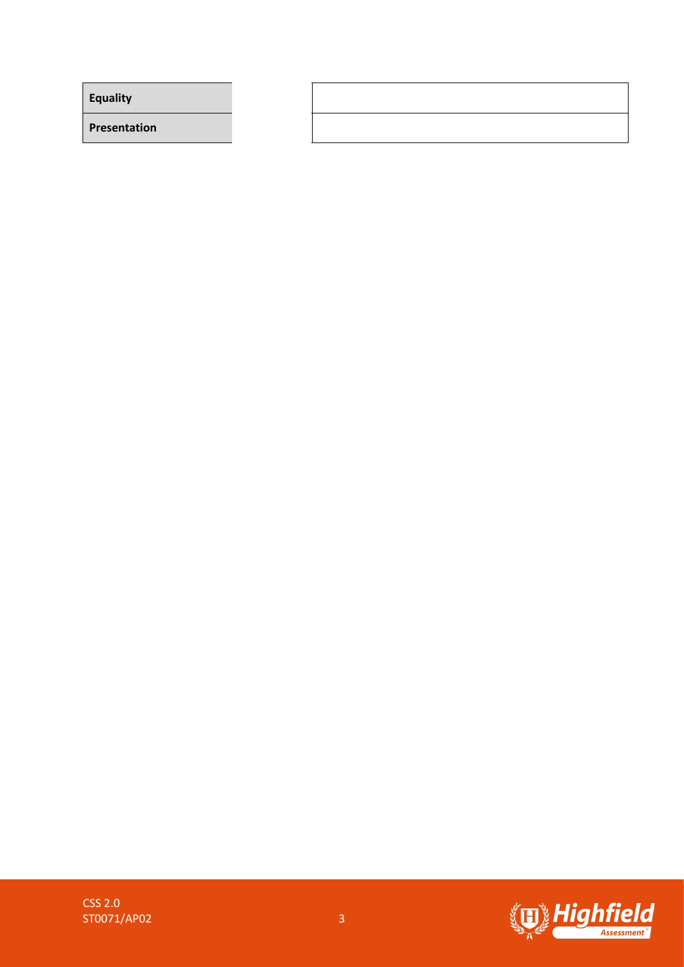**Equality**

**Presentation**